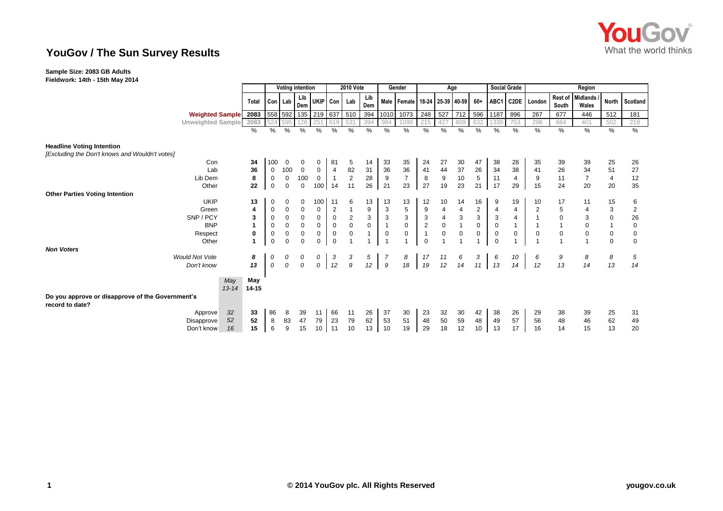

## **YouGov / The Sun Survey Results**

## **Sample Size: 2083 GB Adults**

**Fieldwork: 14th - 15th May 2014**

|                                                                     |                          |                  | <b>Voting intention</b> |              | 2010 Vote        |                     |              | Gender         |             | Age          |                |                                       |                  |                | <b>Social Grade</b> | Region         |             |                |                  |                         |                   |             |                |
|---------------------------------------------------------------------|--------------------------|------------------|-------------------------|--------------|------------------|---------------------|--------------|----------------|-------------|--------------|----------------|---------------------------------------|------------------|----------------|---------------------|----------------|-------------|----------------|------------------|-------------------------|-------------------|-------------|----------------|
|                                                                     |                          |                  | Total                   |              | Con Lab          | Lib<br>Dem          | UKIP Con     |                | Lab         | Lib<br>Dem   |                | Male   Female   18-24   25-39   40-59 |                  |                |                     | 60+            |             |                | ABC1 C2DE London | <b>Rest of</b><br>South | Midlands<br>Wales | North       | Scotland       |
|                                                                     | <b>Weighted Sample</b>   |                  | 2083                    |              | 558 592          | 135                 | 219 637      |                | 510         | 394          | 1010           | 1073                                  | 248              | 527            | 712                 | 596            | 1187        | 896            | 267              | 677                     | 446               | 512         | 181            |
|                                                                     | <b>Unweighted Sample</b> |                  | 2083                    | 524          | 595              | 126                 | 251          | 61<br>19       | 531         | 394          | 984            | 1099                                  | 215              | 421            | 809                 | 632            | 1330        | 753            | 298              | 664                     | 401               | 502         | 218            |
|                                                                     |                          |                  | %                       | %            | %                | %                   | $\%$         | %              | %           | %            | $\frac{0}{0}$  | %                                     | %                | $\%$           | %                   | %              | %           | $\%$           | %                | $\frac{9}{6}$           | $\frac{9}{6}$     | %           | %              |
| <b>Headline Voting Intention</b>                                    |                          |                  |                         |              |                  |                     |              |                |             |              |                |                                       |                  |                |                     |                |             |                |                  |                         |                   |             |                |
| [Excluding the Don't knows and Wouldn't votes]                      |                          |                  |                         |              |                  |                     |              |                |             |              |                |                                       |                  |                |                     |                |             |                |                  |                         |                   |             |                |
|                                                                     | Con                      |                  | 34                      | 100          | 0                | 0                   | 0            | 81             | 5           | 14           | 33             | 35                                    | 24               | 27             | 30                  | 47             | 38          | 28             | 35               | 39                      | 39                | 25          | 26             |
|                                                                     | Lab                      |                  | 36                      | $\mathbf 0$  | 100              | $\mathbf 0$         | $\mathbf 0$  | $\overline{4}$ | 82          | 31           | 36             | 36                                    | 41               | 44             | 37                  | 26             | 34          | 38             | 41               | 26                      | 34                | 51          | 27             |
|                                                                     | Lib Dem                  |                  | 8                       | $\mathbf 0$  | $\mathbf 0$      | 100                 | $\mathbf{0}$ | $\overline{1}$ | $\sqrt{2}$  | 28           | 9              | $\overline{7}$                        | 8                | 9              | 10                  | 5              | 11          | $\overline{4}$ | 9                | 11                      | $\overline{7}$    | 4           | 12             |
|                                                                     | Other                    |                  | 22                      | $\mathbf 0$  | 0                | $\mathbf 0$         | 100          | 14             | 11          | 26           | 21             | 23                                    | 27               | 19             | 23                  | 21             | 17          | 29             | 15               | 24                      | 20                | 20          | 35             |
| <b>Other Parties Voting Intention</b>                               |                          |                  |                         |              |                  |                     |              |                |             |              |                |                                       |                  |                |                     |                |             |                |                  |                         |                   |             |                |
|                                                                     | <b>UKIP</b>              |                  | 13                      | 0            | 0                | 0                   | 100          | 11             | 6           | 13           | 13             | 13                                    | 12               | 10             | 14                  | 16             | 9           | 19             | 10               | 17                      | 11                | 15          | 6              |
|                                                                     | Green                    |                  | 4                       | 0            | 0                | $\mathbf 0$         | $\mathbf 0$  | $\overline{c}$ |             | 9            | 3              | 5                                     | $\boldsymbol{9}$ | $\overline{4}$ |                     | $\overline{c}$ | 4           | 4              | 2                | 5                       | 4                 | 3           | $\frac{2}{26}$ |
|                                                                     | SNP / PCY                |                  | 3                       | $\mathbf 0$  | $\mathbf 0$      | $\pmb{0}$           | $\mathbf 0$  | $\mathbf 0$    | $\mathbf 2$ | $\mathbf{3}$ | $\mathsf 3$    | 3                                     | $\mathbf{3}$     | $\overline{4}$ | 3                   | 3              | 3           | $\overline{4}$ |                  | $\mathbf 0$             | 3                 | $\pmb{0}$   |                |
|                                                                     | <b>BNP</b>               |                  |                         | $\mathbf 0$  | $\boldsymbol{0}$ | $\mathbf 0$         | $\mathbf 0$  | $\mathbf 0$    | $\mathbf 0$ | $\mathbf 0$  | $\overline{1}$ | $\mathbf 0$                           | $\overline{2}$   | $\mathbf 0$    |                     | $\mathbf 0$    | $\mathbf 0$ | $\overline{1}$ |                  |                         | $\mathbf 0$       |             | $\mathsf 0$    |
|                                                                     | Respect                  |                  | 0                       | $\mathbf 0$  | 0                | $\mathsf{O}\xspace$ | $\mathbf 0$  | $\mathbf 0$    | $\mathbf 0$ |              | $\mathbf 0$    | $\pmb{0}$                             | $\overline{1}$   | $\mathbf 0$    | $\mathbf 0$         | $\mathbf 0$    | $\mathbf 0$ | $\mathbf 0$    | 0                | $\mathbf 0$             | $\mathbf 0$       | $\mathbf 0$ | $\mathbf 0$    |
|                                                                     | Other                    |                  |                         | $\mathbf 0$  | 0                | $\mathbf 0$         | $\mathbf 0$  | $\Omega$       |             |              |                |                                       | $\mathbf 0$      |                |                     |                | $\Omega$    |                |                  |                         |                   | $\mathbf 0$ | $\mathbf 0$    |
| <b>Non Voters</b>                                                   |                          |                  |                         |              |                  |                     |              |                |             |              |                |                                       |                  |                |                     |                |             |                |                  |                         |                   |             |                |
|                                                                     | <b>Would Not Vote</b>    |                  | 8                       | 0            | 0                | 0                   | 0            | 3              | 3           | 5            | 7              | 8                                     | 17               | 11             | 6                   | 3              | 6           | 10             | 6                | 9                       | 8                 | 8           | 5              |
|                                                                     | Don't know               |                  | 13                      | $\mathcal O$ | $\mathcal{O}$    | $\mathcal{O}$       | 0            | 12             | 9           | 12           | 9              | 18                                    | 19               | 12             | 14                  | 11             | 13          | 14             | 12               | 13                      | 14                | 13          | 14             |
|                                                                     |                          |                  |                         |              |                  |                     |              |                |             |              |                |                                       |                  |                |                     |                |             |                |                  |                         |                   |             |                |
|                                                                     |                          | May<br>$13 - 14$ | May<br>$14 - 15$        |              |                  |                     |              |                |             |              |                |                                       |                  |                |                     |                |             |                |                  |                         |                   |             |                |
| Do you approve or disapprove of the Government's<br>record to date? |                          |                  |                         |              |                  |                     |              |                |             |              |                |                                       |                  |                |                     |                |             |                |                  |                         |                   |             |                |
|                                                                     | Approve                  | 32               | 33                      | 86           | 8                | 39                  | 11           | 66             | 11          | 26           | 37             | 30                                    | 23               | 32             | 30                  | 42             | 38          | 26             | 29               | 38                      | 39                | 25          | 31             |
|                                                                     | Disapprove               | 52               | 52                      | 8            | 83               | 47                  | 79           | 23             | 79          | 62           | 53             | 51                                    | 48               | 50             | 59                  | 48             | 49          | 57             | 56               | 48                      | 46                | 62          | 49             |
|                                                                     | Don't know               | 16               | 15                      | 6            | 9                | 15                  | 10           | 11             | 10          | 13           | 10             | 19                                    | 29               | 18             | 12                  | 10             | 13          | 17             | 16               | 14                      | 15                | 13          | 20             |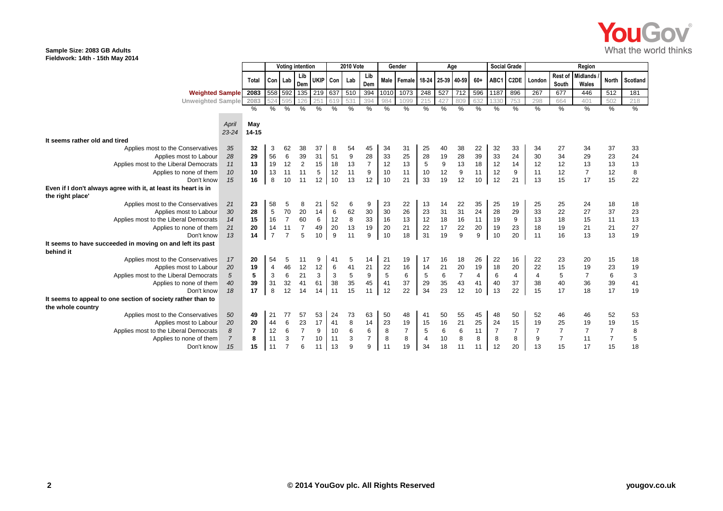

**Sample Size: 2083 GB Adults Fieldwork: 14th - 15th May 2014**

|                                                                                    |                |                | <b>Voting intention</b> |                |                | 2010 Vote   |             |            | Gender           |            | Age                                   |                |      |                | <b>Social Grade</b> |      | Region            |        |                |                           |                |             |
|------------------------------------------------------------------------------------|----------------|----------------|-------------------------|----------------|----------------|-------------|-------------|------------|------------------|------------|---------------------------------------|----------------|------|----------------|---------------------|------|-------------------|--------|----------------|---------------------------|----------------|-------------|
|                                                                                    |                | Total          | Con                     | Lab            | Lib<br>Dem     | <b>UKIP</b> | Con         | Lab        | Lib<br>Dem       |            | Male   Female   18-24   25-39   40-59 |                |      |                | $60+$               | ABC1 | C <sub>2</sub> DE | London | South          | Rest of Midlands<br>Wales | <b>North</b>   | Scotland    |
| <b>Weighted Sample</b>                                                             |                | 2083           |                         | 558 592        | 135            | 219 637     |             | 510        | 394              | 1010       | 1073                                  | 248            | 527  | 712            | 596                 | 1187 | 896               | 267    | 677            | 446                       | 512            | 181         |
| <b>Unweighted Sample</b>                                                           |                | 2083           | 524                     | 595            | 126            | 251         |             | 531        | 394              | 984        | 1099                                  | 215            | 42   | 809            | 632                 | 1330 | 753               | 298    | 664            | 401                       | 502            | 218         |
|                                                                                    |                | %              | $\%$                    | $\%$           | %              | %           | %           | $\%$       | %                | %          | $\%$                                  | $\frac{1}{2}$  | $\%$ | $\%$           | $\%$                | %    | $\%$              | %      | %              | $\frac{0}{0}$             | %              | $\%$        |
|                                                                                    | April<br>23-24 | May<br>14-15   |                         |                |                |             |             |            |                  |            |                                       |                |      |                |                     |      |                   |        |                |                           |                |             |
| It seems rather old and tired                                                      |                |                |                         |                |                |             |             |            |                  |            |                                       |                |      |                |                     |      |                   |        |                |                           |                |             |
| Applies most to the Conservatives                                                  | 35             | 32             | 3                       | 62             | 38             | 37          | 8           | 54         | 45               | 34         | 31                                    | 25             | 40   | 38             | 22                  | 32   | 33                | 34     | 27             | 34                        | 37             | 33          |
| Applies most to Labour                                                             | 28             | 29             | 56                      | 6              | 39             | 31          | 51          | 9          | 28               | 33         | 25                                    | 28             | 19   | 28             | 39                  | 33   | 24                | 30     | 34             | 29                        | 23             | 24          |
| Applies most to the Liberal Democrats                                              | 11             | 13             | 19                      | 12             | $\overline{2}$ | 15          | 18          | 13         | $\overline{7}$   | 12         | 13                                    | $\sqrt{5}$     | 9    | 13             | 18                  | 12   | 14                | 12     | 12             | 13                        | 13             | 13          |
| Applies to none of them                                                            | 10             | 10             | 13                      | 11             | 11             | 5           | 12          | 11         | 9                | 10         | 11                                    | 10             | 12   | 9              | 11                  | 12   | 9                 | 11     | 12             | $\overline{7}$            | 12             | $\bf8$      |
| Don't know                                                                         | 15             | 16             | 8                       | 10             | 11             | 12          | 10          | 13         | 12               | 10         | 21                                    | 33             | 19   | 12             | 10                  | 12   | 21                | 13     | 15             | 17                        | 15             | 22          |
| Even if I don't always agree with it, at least its heart is in<br>the right place' |                |                |                         |                |                |             |             |            |                  |            |                                       |                |      |                |                     |      |                   |        |                |                           |                |             |
| Applies most to the Conservatives                                                  | 21             | 23             | 58                      | 5              | 8              | 21          | 52          | 6          | 9                | 23         | 22                                    | 13             | 14   | 22             | 35                  | 25   | 19                | 25     | 25             | 24                        | 18             | 18          |
| Applies most to Labour                                                             | 30             | 28             | 5                       | 70             | 20             | 14          | 6           | 62         | 30               | 30         | 26                                    | 23             | 31   | 31             | 24                  | 28   | 29                | 33     | 22             | 27                        | 37             | 23          |
| Applies most to the Liberal Democrats                                              | 14             | 15             | 16                      | $\overline{7}$ | 60             | 6           | 12          | 8          | 33               | 16         | 13                                    | 12             | 18   | 16             | 11                  | 19   | 9                 | 13     | 18             | 15                        | 11             | 13          |
| Applies to none of them                                                            | 21             | 20             | 14                      | 11             | $\overline{7}$ | 49          | 20          | 13         | 19               | 20         | 21                                    | 22             | 17   | 22             | 20                  | 19   | 23                | 18     | 19             | 21                        | 21             | 27          |
| Don't know                                                                         | 13             | 14             | $\overline{7}$          | $\overline{7}$ | 5              | 10          | 9           | 11         | 9                | 10         | 18                                    | 31             | 19   | 9              | 9                   | 10   | 20                | 11     | 16             | 13                        | 13             | 19          |
| It seems to have succeeded in moving on and left its past<br>behind it             |                |                |                         |                |                |             |             |            |                  |            |                                       |                |      |                |                     |      |                   |        |                |                           |                |             |
| Applies most to the Conservatives                                                  | 17             | 20             | 54                      | 5              | 11             | 9           | 41          | 5          | 14               | 21         | 19                                    | 17             | 16   | 18             | 26                  | 22   | 16                | 22     | 23             | 20                        | 15             | 18          |
| Applies most to Labour                                                             | 20             | 19             | 4                       | 46             | 12             | 12          | 6           | 41         | 21               | 22         | 16                                    | 14             | 21   | 20             | 19                  | 18   | 20                | 22     | 15             | 19                        | 23             | 19          |
| Applies most to the Liberal Democrats                                              | 5              | 5              | 3                       | 6              | 21             | 3           | $\mathsf 3$ | $\sqrt{5}$ | $\boldsymbol{9}$ | $\sqrt{5}$ | $\,6$                                 | $\overline{5}$ | 6    | $\overline{7}$ | 4                   | 6    | 4                 | 4      | 5              | $\overline{7}$            | $\,6\,$        | $\mathsf 3$ |
| Applies to none of them                                                            | 40             | 39             | 31                      | 32             | 41             | 61          | 38          | 35         | 45               | 41         | 37                                    | 29             | 35   | 43             | 41                  | 40   | 37                | 38     | 40             | 36                        | 39             | 41          |
| Don't know                                                                         | 18             | 17             | 8                       | 12             | 14             | 14          | 11          | 15         | 11               | 12         | 22                                    | 34             | 23   | 12             | 10                  | 13   | 22                | 15     | 17             | 18                        | 17             | 19          |
| It seems to appeal to one section of society rather than to                        |                |                |                         |                |                |             |             |            |                  |            |                                       |                |      |                |                     |      |                   |        |                |                           |                |             |
| the whole country                                                                  |                |                |                         |                |                |             |             |            |                  |            |                                       |                |      |                |                     |      |                   |        |                |                           |                |             |
| Applies most to the Conservatives                                                  | 50             | 49             | 21                      | 77             | 57             | 53          | 24          | 73         | 63               | 50         | 48                                    | 41             | 50   | 55             | 45                  | 48   | 50                | 52     | 46             | 46                        | 52             | 53          |
| Applies most to Labour                                                             | 20             | 20             | 44                      | 6              | 23             | 17          | 41          | 8          | 14               | 23         | 19                                    | 15             | 16   | 21             | 25                  | 24   | 15                | 19     | 25             | 19                        | 19             | 15          |
| Applies most to the Liberal Democrats                                              | 8              | $\overline{7}$ | 12                      | 6              | $\overline{7}$ | 9           | 10          | 6          | 6                | 8          | $\overline{7}$                        | 5              | 6    | 6              | 11                  | 7    | 7                 |        | $\overline{7}$ | 7                         | $\overline{7}$ | 8           |
| Applies to none of them                                                            | $\overline{7}$ | 8              | 11                      | 3              | $\overline{7}$ | 10          | 11          | 3          | $\overline{7}$   | 8          | 8                                     | $\overline{4}$ | 10   | 8              | 8                   | 8    | 8                 | 9      | $\overline{7}$ | 11                        | $\overline{7}$ | 5           |
| Don't know                                                                         | 15             | 15             | 11                      |                | 6              | 11          | 13          | 9          | 9                | 11         | 19                                    | 34             | 18   | 11             | 11                  | 12   | 20                | 13     | 15             | 17                        | 15             | 18          |